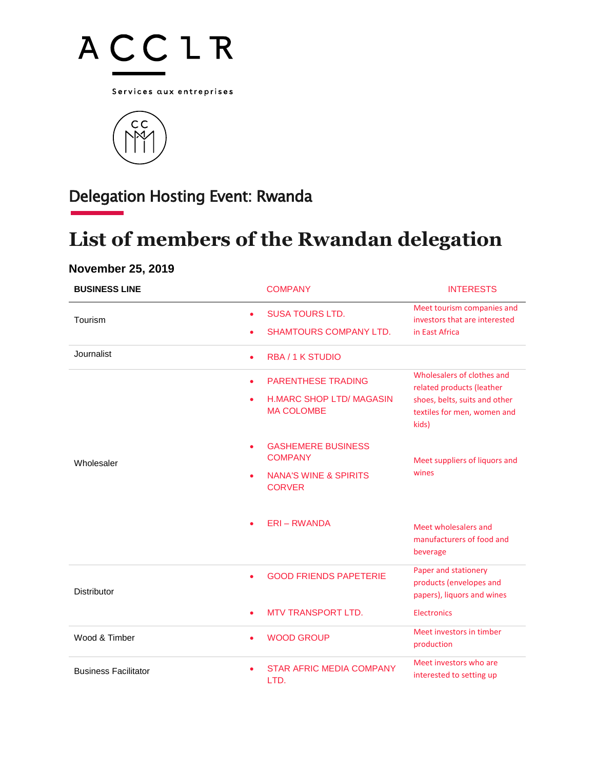

Services aux entreprises



## Delegation Hosting Event: Rwanda

## **List of members of the Rwandan delegation**

## **November 25, 2019**

| <b>BUSINESS LINE</b>        | <b>COMPANY</b>                                                                                   | <b>INTERESTS</b>                                                                                                                 |
|-----------------------------|--------------------------------------------------------------------------------------------------|----------------------------------------------------------------------------------------------------------------------------------|
| Tourism                     | <b>SUSA TOURS LTD.</b><br><b>SHAMTOURS COMPANY LTD.</b>                                          | Meet tourism companies and<br>investors that are interested<br>in East Africa                                                    |
| Journalist                  | <b>RBA/1 K STUDIO</b><br>$\bullet$                                                               |                                                                                                                                  |
| Wholesaler                  | <b>PARENTHESE TRADING</b><br>$\bullet$<br><b>H.MARC SHOP LTD/ MAGASIN</b><br><b>MA COLOMBE</b>   | Wholesalers of clothes and<br>related products (leather<br>shoes, belts, suits and other<br>textiles for men, women and<br>kids) |
|                             | <b>GASHEMERE BUSINESS</b><br><b>COMPANY</b><br><b>NANA'S WINE &amp; SPIRITS</b><br><b>CORVER</b> | Meet suppliers of liquors and<br>wines                                                                                           |
|                             | <b>ERI-RWANDA</b>                                                                                | Meet wholesalers and<br>manufacturers of food and<br>beverage                                                                    |
| <b>Distributor</b>          | <b>GOOD FRIENDS PAPETERIE</b>                                                                    | Paper and stationery<br>products (envelopes and<br>papers), liquors and wines                                                    |
|                             | <b>MTV TRANSPORT LTD.</b>                                                                        | Electronics                                                                                                                      |
| Wood & Timber               | <b>WOOD GROUP</b>                                                                                | Meet investors in timber<br>production                                                                                           |
| <b>Business Facilitator</b> | <b>STAR AFRIC MEDIA COMPANY</b><br>LTD.                                                          | Meet investors who are<br>interested to setting up                                                                               |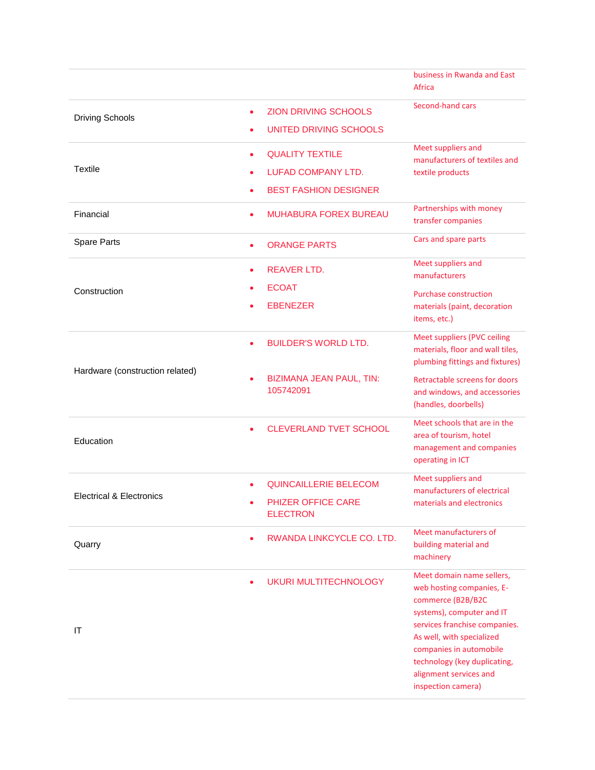|                                     |           |                                                                              | business in Rwanda and East<br>Africa                                                                                                                                                                                                                                             |
|-------------------------------------|-----------|------------------------------------------------------------------------------|-----------------------------------------------------------------------------------------------------------------------------------------------------------------------------------------------------------------------------------------------------------------------------------|
| <b>Driving Schools</b>              |           | <b>ZION DRIVING SCHOOLS</b><br>UNITED DRIVING SCHOOLS                        | Second-hand cars                                                                                                                                                                                                                                                                  |
| Textile                             | ۰         | <b>QUALITY TEXTILE</b><br>LUFAD COMPANY LTD.<br><b>BEST FASHION DESIGNER</b> | Meet suppliers and<br>manufacturers of textiles and<br>textile products                                                                                                                                                                                                           |
| Financial                           | ٠         | <b>MUHABURA FOREX BUREAU</b>                                                 | Partnerships with money<br>transfer companies                                                                                                                                                                                                                                     |
| <b>Spare Parts</b>                  | $\bullet$ | <b>ORANGE PARTS</b>                                                          | Cars and spare parts                                                                                                                                                                                                                                                              |
| Construction                        | $\bullet$ | <b>REAVER LTD.</b><br><b>ECOAT</b>                                           | Meet suppliers and<br>manufacturers<br><b>Purchase construction</b>                                                                                                                                                                                                               |
|                                     |           | <b>EBENEZER</b>                                                              | materials (paint, decoration<br>items, etc.)                                                                                                                                                                                                                                      |
|                                     |           | <b>BUILDER'S WORLD LTD.</b>                                                  | Meet suppliers (PVC ceiling<br>materials, floor and wall tiles,<br>plumbing fittings and fixtures)                                                                                                                                                                                |
| Hardware (construction related)     |           | <b>BIZIMANA JEAN PAUL, TIN:</b><br>105742091                                 | Retractable screens for doors<br>and windows, and accessories<br>(handles, doorbells)                                                                                                                                                                                             |
| Education                           |           | <b>CLEVERLAND TVET SCHOOL</b>                                                | Meet schools that are in the<br>area of tourism, hotel<br>management and companies<br>operating in ICT                                                                                                                                                                            |
| <b>Electrical &amp; Electronics</b> |           | QUINCAILLERIE BELECOM                                                        | Meet suppliers and<br>manufacturers of electrical<br>materials and electronics                                                                                                                                                                                                    |
|                                     |           | PHIZER OFFICE CARE<br><b>ELECTRON</b>                                        |                                                                                                                                                                                                                                                                                   |
| Quarry                              |           | RWANDA LINKCYCLE CO. LTD.                                                    | Meet manufacturers of<br>building material and<br>machinery                                                                                                                                                                                                                       |
| IT                                  |           | <b>UKURI MULTITECHNOLOGY</b>                                                 | Meet domain name sellers,<br>web hosting companies, E-<br>commerce (B2B/B2C<br>systems), computer and IT<br>services franchise companies.<br>As well, with specialized<br>companies in automobile<br>technology (key duplicating,<br>alignment services and<br>inspection camera) |